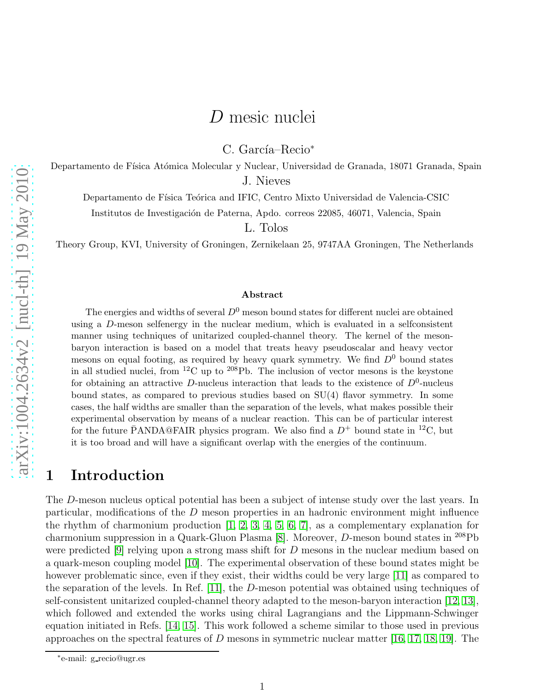# D mesic nuclei

C. García–Recio<sup>\*</sup>

Departamento de Física Atómica Molecular y Nuclear, Universidad de Granada, 18071 Granada, Spain J. Nieves

Departamento de Física Teórica and IFIC, Centro Mixto Universidad de Valencia-CSIC

Institutos de Investigación de Paterna, Apdo. correos 22085, 46071, Valencia, Spain

L. Tolos

Theory Group, KVI, University of Groningen, Zernikelaan 25, 9747AA Groningen, The Netherlands

#### Abstract

The energies and widths of several  $D^0$  meson bound states for different nuclei are obtained using a D-meson selfenergy in the nuclear medium, which is evaluated in a selfconsistent manner using techniques of unitarized coupled-channel theory. The kernel of the mesonbaryon interaction is based on a model that treats heavy pseudoscalar and heavy vector mesons on equal footing, as required by heavy quark symmetry. We find  $D^0$  bound states in all studied nuclei, from  ${}^{12}$ C up to  ${}^{208}$ Pb. The inclusion of vector mesons is the keystone for obtaining an attractive D-nucleus interaction that leads to the existence of  $D^0$ -nucleus bound states, as compared to previous studies based on  $SU(4)$  flavor symmetry. In some cases, the half widths are smaller than the separation of the levels, what makes possible their experimental observation by means of a nuclear reaction. This can be of particular interest for the future PANDA@FAIR physics program. We also find a  $D^+$  bound state in <sup>12</sup>C, but it is too broad and will have a significant overlap with the energies of the continuum.

# 1 Introduction

The D-meson nucleus optical potential has been a subject of intense study over the last years. In particular, modifications of the  $D$  meson properties in an hadronic environment might influence the rhythm of charmonium production [\[1,](#page-10-0) [2,](#page-10-1) [3,](#page-10-2) [4,](#page-10-3) [5,](#page-10-4) [6,](#page-11-0) [7\]](#page-11-1), as a complementary explanation for charmonium suppression in a Quark-Gluon Plasma [\[8\]](#page-11-2). Moreover, D-meson bound states in <sup>208</sup>Pb were predicted [\[9\]](#page-11-3) relying upon a strong mass shift for D mesons in the nuclear medium based on a quark-meson coupling model [\[10\]](#page-11-4). The experimental observation of these bound states might be however problematic since, even if they exist, their widths could be very large [\[11\]](#page-11-5) as compared to the separation of the levels. In Ref. [\[11\]](#page-11-5), the D-meson potential was obtained using techniques of self-consistent unitarized coupled-channel theory adapted to the meson-baryon interaction [\[12,](#page-11-6) [13\]](#page-11-7), which followed and extended the works using chiral Lagrangians and the Lippmann-Schwinger equation initiated in Refs. [\[14,](#page-11-8) [15\]](#page-11-9). This work followed a scheme similar to those used in previous approaches on the spectral features of D mesons in symmetric nuclear matter  $[16, 17, 18, 19]$  $[16, 17, 18, 19]$  $[16, 17, 18, 19]$  $[16, 17, 18, 19]$ . The

<sup>∗</sup> e-mail: g recio@ugr.es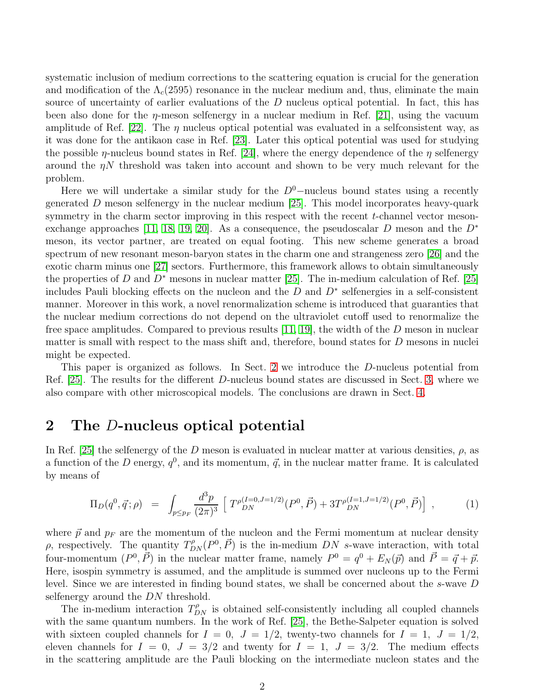systematic inclusion of medium corrections to the scattering equation is crucial for the generation and modification of the  $\Lambda_c(2595)$  resonance in the nuclear medium and, thus, eliminate the main source of uncertainty of earlier evaluations of the D nucleus optical potential. In fact, this has been also done for the  $\eta$ -meson selfenergy in a nuclear medium in Ref. [\[21\]](#page-11-14), using the vacuum amplitude of Ref. [\[22\]](#page-11-15). The  $\eta$  nucleus optical potential was evaluated in a selfconsistent way, as it was done for the antikaon case in Ref. [\[23\]](#page-11-16). Later this optical potential was used for studying the possible  $\eta$ -nucleus bound states in Ref. [\[24\]](#page-11-17), where the energy dependence of the  $\eta$  selfenergy around the  $\eta N$  threshold was taken into account and shown to be very much relevant for the problem.

Here we will undertake a similar study for the  $D^0$ –nucleus bound states using a recently generated  $D$  meson selfenergy in the nuclear medium [\[25\]](#page-11-18). This model incorporates heavy-quark symmetry in the charm sector improving in this respect with the recent  $t$ -channel vector meson-exchange approaches [\[11,](#page-11-5) [18,](#page-11-12) [19,](#page-11-13) [20\]](#page-11-19). As a consequence, the pseudoscalar D meson and the  $D^*$ meson, its vector partner, are treated on equal footing. This new scheme generates a broad spectrum of new resonant meson-baryon states in the charm one and strangeness zero [\[26\]](#page-11-20) and the exotic charm minus one [\[27\]](#page-11-21) sectors. Furthermore, this framework allows to obtain simultaneously the properties of D and  $D^*$  mesons in nuclear matter [\[25\]](#page-11-18). The in-medium calculation of Ref. [25] includes Pauli blocking effects on the nucleon and the  $D$  and  $D^*$  selfenergies in a self-consistent manner. Moreover in this work, a novel renormalization scheme is introduced that guaranties that the nuclear medium corrections do not depend on the ultraviolet cutoff used to renormalize the free space amplitudes. Compared to previous results  $[11, 19]$  $[11, 19]$ , the width of the D meson in nuclear matter is small with respect to the mass shift and, therefore, bound states for  $D$  mesons in nuclei might be expected.

This paper is organized as follows. In Sect. [2](#page-1-0) we introduce the D-nucleus potential from Ref. [\[25\]](#page-11-18). The results for the different D-nucleus bound states are discussed in Sect. [3,](#page-3-0) where we also compare with other microscopical models. The conclusions are drawn in Sect. [4.](#page-7-0)

#### <span id="page-1-0"></span>2 The D-nucleus optical potential

In Ref. [\[25\]](#page-11-18) the selfenergy of the D meson is evaluated in nuclear matter at various densities,  $\rho$ , as a function of the D energy,  $q^0$ , and its momentum,  $\vec{q}$ , in the nuclear matter frame. It is calculated by means of

<span id="page-1-1"></span>
$$
\Pi_D(q^0, \vec{q}; \rho) = \int_{p \leq p_F} \frac{d^3 p}{(2\pi)^3} \left[ T^{\rho(I=0, J=1/2)}_{DN}(P^0, \vec{P}) + 3T^{\rho(I=1, J=1/2)}_{DN}(P^0, \vec{P}) \right], \tag{1}
$$

where  $\vec{p}$  and  $p_F$  are the momentum of the nucleon and the Fermi momentum at nuclear density ρ, respectively. The quantity  $T_{DN}^{\rho}(P^0, \vec{P})$  is the in-medium DN s-wave interaction, with total four-momentum  $(P^0, \vec{P})$  in the nuclear matter frame, namely  $P^0 = q^0 + E_N(\vec{p})$  and  $\vec{P} = \vec{q} + \vec{p}$ . Here, isospin symmetry is assumed, and the amplitude is summed over nucleons up to the Fermi level. Since we are interested in finding bound states, we shall be concerned about the s-wave D selfenergy around the DN threshold.

The in-medium interaction  $T_{DN}^{\rho}$  is obtained self-consistently including all coupled channels with the same quantum numbers. In the work of Ref. [\[25\]](#page-11-18), the Bethe-Salpeter equation is solved with sixteen coupled channels for  $I = 0$ ,  $J = 1/2$ , twenty-two channels for  $I = 1$ ,  $J = 1/2$ , eleven channels for  $I = 0$ ,  $J = 3/2$  and twenty for  $I = 1$ ,  $J = 3/2$ . The medium effects in the scattering amplitude are the Pauli blocking on the intermediate nucleon states and the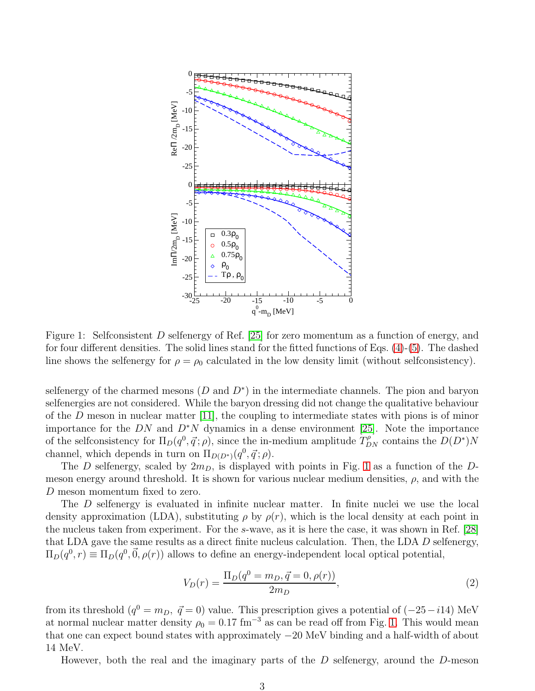

<span id="page-2-0"></span>Figure 1: Selfconsistent D selfenergy of Ref. [\[25\]](#page-11-18) for zero momentum as a function of energy, and for four different densities. The solid lines stand for the fitted functions of Eqs.  $(4)-(5)$  $(4)-(5)$ . The dashed line shows the selfenergy for  $\rho = \rho_0$  calculated in the low density limit (without selfconsistency).

selfenergy of the charmed mesons  $(D \text{ and } D^*)$  in the intermediate channels. The pion and baryon selfenergies are not considered. While the baryon dressing did not change the qualitative behaviour of the  $D$  meson in nuclear matter [\[11\]](#page-11-5), the coupling to intermediate states with pions is of minor importance for the DN and  $D^*N$  dynamics in a dense environment [\[25\]](#page-11-18). Note the importance of the selfconsistency for  $\Pi_D(q^0, \vec{q}; \rho)$ , since the in-medium amplitude  $T_{DN}^{\rho}$  contains the  $D(D^*)N$ channel, which depends in turn on  $\Pi_{D(D^*)}(q^0, \vec{q}; \rho)$ .

The D selfenergy, scaled by  $2m<sub>D</sub>$ , is displayed with points in Fig. [1](#page-2-0) as a function of the Dmeson energy around threshold. It is shown for various nuclear medium densities,  $\rho$ , and with the D meson momentum fixed to zero.

The D selfenergy is evaluated in infinite nuclear matter. In finite nuclei we use the local density approximation (LDA), substituting  $\rho$  by  $\rho(r)$ , which is the local density at each point in the nucleus taken from experiment. For the s-wave, as it is here the case, it was shown in Ref. [\[28\]](#page-11-22) that LDA gave the same results as a direct finite nucleus calculation. Then, the LDA D selfenergy,  $\Pi_D(q^0, r) \equiv \Pi_D(q^0, \vec{0}, \rho(r))$  allows to define an energy-independent local optical potential,

<span id="page-2-1"></span>
$$
V_D(r) = \frac{\Pi_D(q^0 = m_D, \vec{q} = 0, \rho(r))}{2m_D},\tag{2}
$$

from its threshold  $(q^0 = m_D, \ \vec{q} = 0)$  value. This prescription gives a potential of  $(-25 - i14)$  MeV at normal nuclear matter density  $\rho_0 = 0.17$  fm<sup>-3</sup> as can be read off from Fig. [1.](#page-2-0) This would mean that one can expect bound states with approximately −20 MeV binding and a half-width of about 14 MeV.

However, both the real and the imaginary parts of the  $D$  selfenergy, around the  $D$ -meson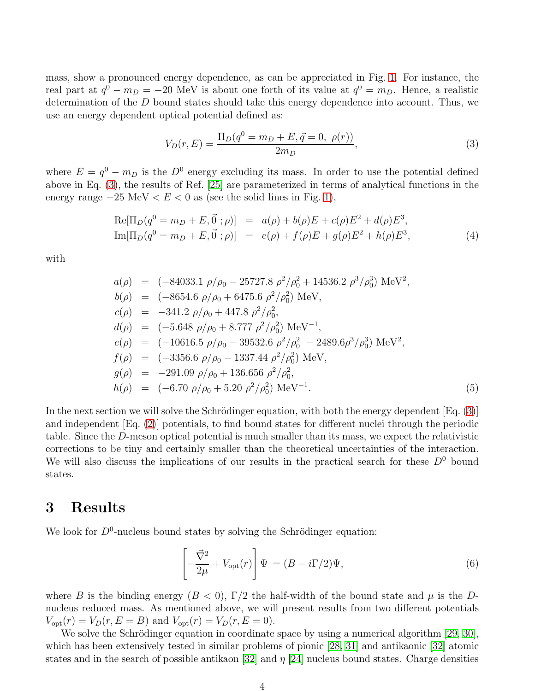mass, show a pronounced energy dependence, as can be appreciated in Fig. [1.](#page-2-0) For instance, the real part at  $q^0 - m_D = -20$  MeV is about one forth of its value at  $q^0 = m_D$ . Hence, a realistic determination of the D bound states should take this energy dependence into account. Thus, we use an energy dependent optical potential defined as:

<span id="page-3-3"></span>
$$
V_D(r, E) = \frac{\Pi_D(q^0 = m_D + E, \vec{q} = 0, \ \rho(r))}{2m_D},\tag{3}
$$

where  $E = q^0 - m_D$  is the  $D^0$  energy excluding its mass. In order to use the potential defined above in Eq. [\(3\)](#page-3-3), the results of Ref. [\[25\]](#page-11-18) are parameterized in terms of analytical functions in the energy range  $-25 \text{ MeV} < E < 0$  as (see the solid lines in Fig. [1\)](#page-2-0),

<span id="page-3-1"></span>
$$
Re[\Pi_D(q^0 = m_D + E, \vec{0}; \rho)] = a(\rho) + b(\rho)E + c(\rho)E^2 + d(\rho)E^3,
$$
  
\n
$$
Im[\Pi_D(q^0 = m_D + E, \vec{0}; \rho)] = e(\rho) + f(\rho)E + g(\rho)E^2 + h(\rho)E^3,
$$
\n(4)

with

<span id="page-3-2"></span>
$$
a(\rho) = (-84033.1 \rho/\rho_0 - 25727.8 \rho^2/\rho_0^2 + 14536.2 \rho^3/\rho_0^3) \text{ MeV}^2,
$$
  
\n
$$
b(\rho) = (-8654.6 \rho/\rho_0 + 6475.6 \rho^2/\rho_0^2) \text{ MeV},
$$
  
\n
$$
c(\rho) = -341.2 \rho/\rho_0 + 447.8 \rho^2/\rho_0^2,
$$
  
\n
$$
d(\rho) = (-5.648 \rho/\rho_0 + 8.777 \rho^2/\rho_0^2) \text{ MeV}^{-1},
$$
  
\n
$$
e(\rho) = (-10616.5 \rho/\rho_0 - 39532.6 \rho^2/\rho_0^2 - 2489.6 \rho^3/\rho_0^3) \text{ MeV}^2,
$$
  
\n
$$
f(\rho) = (-3356.6 \rho/\rho_0 - 1337.44 \rho^2/\rho_0^2) \text{ MeV},
$$
  
\n
$$
g(\rho) = -291.09 \rho/\rho_0 + 136.656 \rho^2/\rho_0^2,
$$
  
\n
$$
h(\rho) = (-6.70 \rho/\rho_0 + 5.20 \rho^2/\rho_0^2) \text{ MeV}^{-1}.
$$
  
\n(5)

In the next section we will solve the Schrödinger equation, with both the energy dependent  $[Eq. (3)]$  $[Eq. (3)]$  $[Eq. (3)]$ and independent [Eq. [\(2\)](#page-2-1)] potentials, to find bound states for different nuclei through the periodic table. Since the D-meson optical potential is much smaller than its mass, we expect the relativistic corrections to be tiny and certainly smaller than the theoretical uncertainties of the interaction. We will also discuss the implications of our results in the practical search for these  $D^0$  bound states.

# <span id="page-3-0"></span>3 Results

We look for  $D^0$ -nucleus bound states by solving the Schrödinger equation:

$$
\left[-\frac{\vec{\nabla}^2}{2\mu} + V_{\text{opt}}(r)\right]\Psi = (B - i\Gamma/2)\Psi,
$$
\n(6)

where B is the binding energy  $(B < 0)$ , Γ/2 the half-width of the bound state and  $\mu$  is the Dnucleus reduced mass. As mentioned above, we will present results from two different potentials  $V_{\text{opt}}(r) = V_D(r, E = B)$  and  $V_{\text{opt}}(r) = V_D(r, E = 0)$ .

We solve the Schrödinger equation in coordinate space by using a numerical algorithm [\[29,](#page-11-23) [30\]](#page-11-24), which has been extensively tested in similar problems of pionic [\[28,](#page-11-22) [31\]](#page-11-25) and antikaonic [\[32\]](#page-12-0) atomic states and in the search of possible antikaon [\[32\]](#page-12-0) and  $\eta$  [\[24\]](#page-11-17) nucleus bound states. Charge densities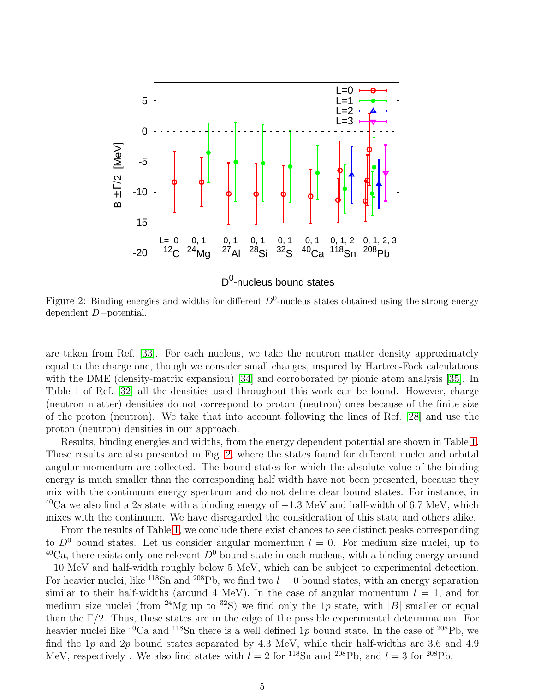

<span id="page-4-0"></span>Figure 2: Binding energies and widths for different  $D^0$ -nucleus states obtained using the strong energy dependent D−potential.

are taken from Ref. [\[33\]](#page-12-1). For each nucleus, we take the neutron matter density approximately equal to the charge one, though we consider small changes, inspired by Hartree-Fock calculations with the DME (density-matrix expansion) [\[34\]](#page-12-2) and corroborated by pionic atom analysis [\[35\]](#page-12-3). In Table 1 of Ref. [\[32\]](#page-12-0) all the densities used throughout this work can be found. However, charge (neutron matter) densities do not correspond to proton (neutron) ones because of the finite size of the proton (neutron). We take that into account following the lines of Ref. [\[28\]](#page-11-22) and use the proton (neutron) densities in our approach.

Results, binding energies and widths, from the energy dependent potential are shown in Table [1.](#page-6-0) These results are also presented in Fig. [2,](#page-4-0) where the states found for different nuclei and orbital angular momentum are collected. The bound states for which the absolute value of the binding energy is much smaller than the corresponding half width have not been presented, because they mix with the continuum energy spectrum and do not define clear bound states. For instance, in  $^{40}$ Ca we also find a 2s state with a binding energy of  $-1.3$  MeV and half-width of 6.7 MeV, which mixes with the continuum. We have disregarded the consideration of this state and others alike.

From the results of Table [1,](#page-6-0) we conclude there exist chances to see distinct peaks corresponding to  $D^0$  bound states. Let us consider angular momentum  $l = 0$ . For medium size nuclei, up to <sup>40</sup>Ca, there exists only one relevant  $D^0$  bound state in each nucleus, with a binding energy around −10 MeV and half-width roughly below 5 MeV, which can be subject to experimental detection. For heavier nuclei, like <sup>118</sup>Sn and <sup>208</sup>Pb, we find two  $l = 0$  bound states, with an energy separation similar to their half-widths (around 4 MeV). In the case of angular momentum  $l = 1$ , and for medium size nuclei (from <sup>24</sup>Mg up to <sup>32</sup>S) we find only the 1p state, with |B| smaller or equal than the  $\Gamma/2$ . Thus, these states are in the edge of the possible experimental determination. For heavier nuclei like  ${}^{40}Ca$  and  ${}^{118}Sn$  there is a well defined 1p bound state. In the case of  ${}^{208}Pb$ , we find the  $1p$  and  $2p$  bound states separated by  $4.3$  MeV, while their half-widths are 3.6 and  $4.9$ MeV, respectively. We also find states with  $l = 2$  for <sup>118</sup>Sn and <sup>208</sup>Pb, and  $l = 3$  for <sup>208</sup>Pb.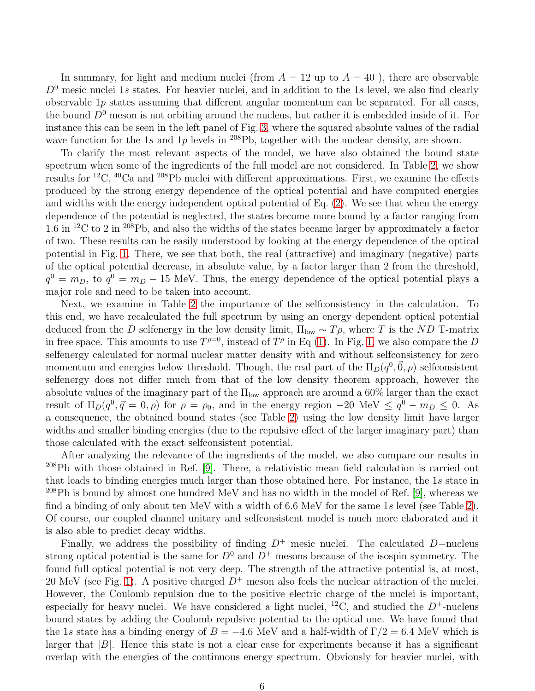In summary, for light and medium nuclei (from  $A = 12$  up to  $A = 40$ ), there are observable  $D<sup>0</sup>$  mesic nuclei 1s states. For heavier nuclei, and in addition to the 1s level, we also find clearly observable  $1p$  states assuming that different angular momentum can be separated. For all cases, the bound  $D^0$  meson is not orbiting around the nucleus, but rather it is embedded inside of it. For instance this can be seen in the left panel of Fig. [3,](#page-7-1) where the squared absolute values of the radial wave function for the 1s and 1p levels in  $^{208}Pb$ , together with the nuclear density, are shown.

To clarify the most relevant aspects of the model, we have also obtained the bound state spectrum when some of the ingredients of the full model are not considered. In Table [2,](#page-6-1) we show results for <sup>12</sup>C, <sup>40</sup>Ca and <sup>208</sup>Pb nuclei with different approximations. First, we examine the effects produced by the strong energy dependence of the optical potential and have computed energies and widths with the energy independent optical potential of Eq. [\(2\)](#page-2-1). We see that when the energy dependence of the potential is neglected, the states become more bound by a factor ranging from 1.6 in <sup>12</sup>C to 2 in <sup>208</sup>Pb, and also the widths of the states became larger by approximately a factor of two. These results can be easily understood by looking at the energy dependence of the optical potential in Fig. [1.](#page-2-0) There, we see that both, the real (attractive) and imaginary (negative) parts of the optical potential decrease, in absolute value, by a factor larger than 2 from the threshold,  $q^0 = m_D$ , to  $q^0 = m_D - 15$  MeV. Thus, the energy dependence of the optical potential plays a major role and need to be taken into account.

Next, we examine in Table [2](#page-6-1) the importance of the selfconsistency in the calculation. To this end, we have recalculated the full spectrum by using an energy dependent optical potential deduced from the D selfenergy in the low density limit,  $\Pi_{\text{low}} \sim T \rho$ , where T is the ND T-matrix in free space. This amounts to use  $T^{\rho=0}$ , instead of  $T^{\rho}$  in Eq [\(1\)](#page-1-1). In Fig. [1,](#page-2-0) we also compare the D selfenergy calculated for normal nuclear matter density with and without selfconsistency for zero momentum and energies below threshold. Though, the real part of the  $\Pi_D(q^0, \vec{0}, \rho)$  selfconsistent selfenergy does not differ much from that of the low density theorem approach, however the absolute values of the imaginary part of the  $\Pi_{\text{low}}$  approach are around a 60% larger than the exact result of  $\Pi_D(q^0, \vec{q} = 0, \rho)$  for  $\rho = \rho_0$ , and in the energy region  $-20$  MeV  $\leq q^0 - m_D \leq 0$ . As a consequence, the obtained bound states (see Table [2\)](#page-6-1) using the low density limit have larger widths and smaller binding energies (due to the repulsive effect of the larger imaginary part) than those calculated with the exact selfconsistent potential.

After analyzing the relevance of the ingredients of the model, we also compare our results in <sup>208</sup>Pb with those obtained in Ref. [\[9\]](#page-11-3). There, a relativistic mean field calculation is carried out that leads to binding energies much larger than those obtained here. For instance, the 1s state in  $^{208}\text{Pb}$  is bound by almost one hundred MeV and has no width in the model of Ref. [\[9\]](#page-11-3), whereas we find a binding of only about ten MeV with a width of 6.6 MeV for the same 1s level (see Table [2\)](#page-6-1). Of course, our coupled channel unitary and selfconsistent model is much more elaborated and it is also able to predict decay widths.

Finally, we address the possibility of finding  $D^+$  mesic nuclei. The calculated D−nucleus strong optical potential is the same for  $D^0$  and  $D^+$  mesons because of the isospin symmetry. The found full optical potential is not very deep. The strength of the attractive potential is, at most, 20 MeV (see Fig. [1\)](#page-2-0). A positive charged  $D^+$  meson also feels the nuclear attraction of the nuclei. However, the Coulomb repulsion due to the positive electric charge of the nuclei is important, especially for heavy nuclei. We have considered a light nuclei, <sup>12</sup>C, and studied the  $D^+$ -nucleus bound states by adding the Coulomb repulsive potential to the optical one. We have found that the 1s state has a binding energy of  $B = -4.6$  MeV and a half-width of  $\Gamma/2 = 6.4$  MeV which is larger that  $|B|$ . Hence this state is not a clear case for experiments because it has a significant overlap with the energies of the continuous energy spectrum. Obviously for heavier nuclei, with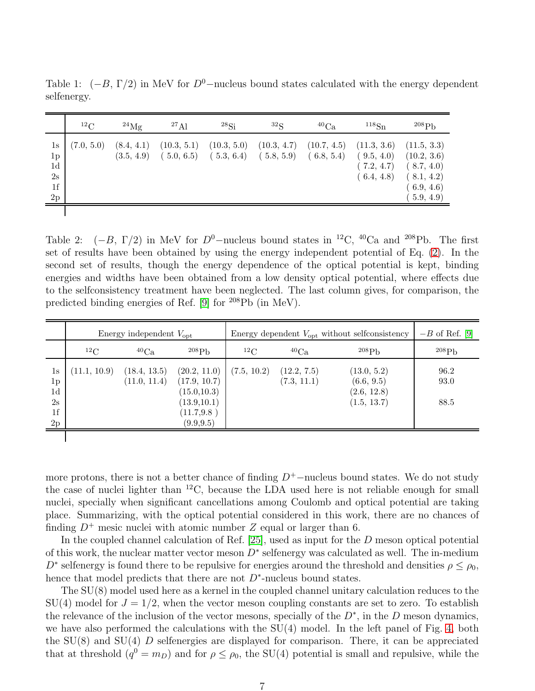|                                                                    | $^{12}$ C  | $^{24}$ Mg               | $^{27}$ Al                | $^{28}Si$                 | $^{32}S$                  | ${}^{40}Ca$               | 118S <sub>n</sub>                                     | 208P <sub>b</sub>                                                                 |
|--------------------------------------------------------------------|------------|--------------------------|---------------------------|---------------------------|---------------------------|---------------------------|-------------------------------------------------------|-----------------------------------------------------------------------------------|
| 1s<br>$1\mathrm{p}$<br>1 <sub>d</sub><br>2s<br>1f<br>$2\mathrm{p}$ | (7.0, 5.0) | (8.4, 4.1)<br>(3.5, 4.9) | (10.3, 5.1)<br>(5.0, 6.5) | (10.3, 5.0)<br>(5.3, 6.4) | (10.3, 4.7)<br>(5.8, 5.9) | (10.7, 4.5)<br>(6.8, 5.4) | (11.3, 3.6)<br>(9.5, 4.0)<br>(7.2, 4.7)<br>(6.4, 4.8) | (11.5, 3.3)<br>(10.2, 3.6)<br>(8.7, 4.0)<br>(8.1, 4.2)<br>(6.9, 4.6)<br>5.9, 4.9) |

<span id="page-6-0"></span>Table 1:  $(-B, \Gamma/2)$  in MeV for  $D^0$ –nucleus bound states calculated with the energy dependent selfenergy.

<span id="page-6-1"></span>Table 2:  $(-B, \Gamma/2)$  in MeV for  $D^0$ –nucleus bound states in <sup>12</sup>C, <sup>40</sup>Ca and <sup>208</sup>Pb. The first set of results have been obtained by using the energy independent potential of Eq. [\(2\)](#page-2-1). In the second set of results, though the energy dependence of the optical potential is kept, binding energies and widths have been obtained from a low density optical potential, where effects due to the selfconsistency treatment have been neglected. The last column gives, for comparison, the predicted binding energies of Ref. [\[9\]](#page-11-3) for <sup>208</sup>Pb (in MeV).

|                                                                      | Energy independent $V_{\text{opt}}$ |                              |                                                                                           | Energy dependent $V_{\text{opt}}$ without selfconsistency | $-B$ of Ref. [9]           |                                                         |                      |
|----------------------------------------------------------------------|-------------------------------------|------------------------------|-------------------------------------------------------------------------------------------|-----------------------------------------------------------|----------------------------|---------------------------------------------------------|----------------------|
|                                                                      | ${}^{12}$ C                         | ${}^{40}Ca$                  | $^{208}Pb$                                                                                | ${}^{12}$ C                                               | ${}^{40}Ca$                | 208P <sub>b</sub>                                       | 208P <sub>b</sub>    |
| 1s<br>1 <sub>p</sub><br>1 <sub>d</sub><br>2s<br>1 <sub>f</sub><br>2p | (11.1, 10.9)                        | (18.4, 13.5)<br>(11.0, 11.4) | (20.2, 11.0)<br>(17.9, 10.7)<br>(15.0, 10.3)<br>(13.9, 10.1)<br>(11.7, 9.8)<br>(9.9, 9.5) | (7.5, 10.2)                                               | (12.2, 7.5)<br>(7.3, 11.1) | (13.0, 5.2)<br>(6.6, 9.5)<br>(2.6, 12.8)<br>(1.5, 13.7) | 96.2<br>93.0<br>88.5 |
|                                                                      |                                     |                              |                                                                                           |                                                           |                            |                                                         |                      |

more protons, there is not a better chance of finding  $D^+$ −nucleus bound states. We do not study the case of nuclei lighter than  ${}^{12}C$ , because the LDA used here is not reliable enough for small nuclei, specially when significant cancellations among Coulomb and optical potential are taking place. Summarizing, with the optical potential considered in this work, there are no chances of finding  $D^+$  mesic nuclei with atomic number Z equal or larger than 6.

In the coupled channel calculation of Ref. [\[25\]](#page-11-18), used as input for the D meson optical potential of this work, the nuclear matter vector meson  $D^*$  selfenergy was calculated as well. The in-medium  $D^*$  selfenergy is found there to be repulsive for energies around the threshold and densities  $\rho \leq \rho_0$ , hence that model predicts that there are not  $D^*$ -nucleus bound states.

The SU(8) model used here as a kernel in the coupled channel unitary calculation reduces to the  $SU(4)$  model for  $J = 1/2$ , when the vector meson coupling constants are set to zero. To establish the relevance of the inclusion of the vector mesons, specially of the  $D^*$ , in the D meson dynamics, we have also performed the calculations with the SU(4) model. In the left panel of Fig. [4,](#page-8-0) both the  $SU(8)$  and  $SU(4)$  D selfenergies are displayed for comparison. There, it can be appreciated that at threshold  $(q^0 = m_D)$  and for  $\rho \le \rho_0$ , the SU(4) potential is small and repulsive, while the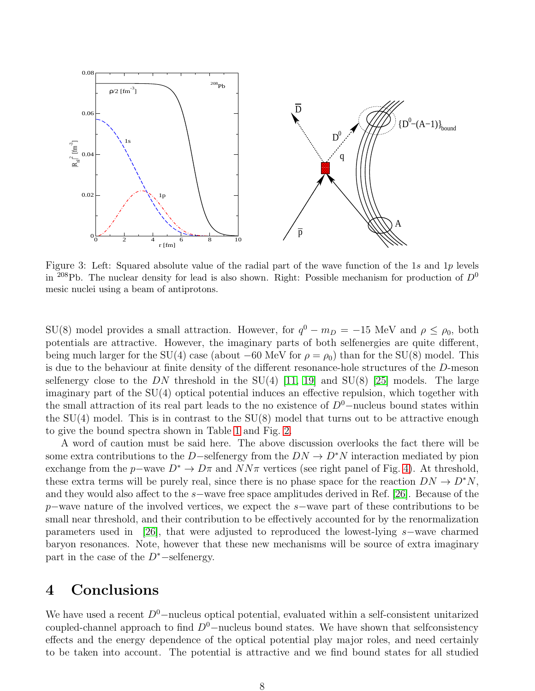

<span id="page-7-1"></span>Figure 3: Left: Squared absolute value of the radial part of the wave function of the 1s and 1p levels in <sup>208</sup>Pb. The nuclear density for lead is also shown. Right: Possible mechanism for production of  $D^0$ mesic nuclei using a beam of antiprotons.

SU(8) model provides a small attraction. However, for  $q^0 - m_D = -15$  MeV and  $\rho \le \rho_0$ , both potentials are attractive. However, the imaginary parts of both selfenergies are quite different, being much larger for the SU(4) case (about –60 MeV for  $\rho = \rho_0$ ) than for the SU(8) model. This is due to the behaviour at finite density of the different resonance-hole structures of the D-meson selfenergy close to the  $DN$  threshold in the  $SU(4)$  [\[11,](#page-11-5) [19\]](#page-11-13) and  $SU(8)$  [\[25\]](#page-11-18) models. The large imaginary part of the SU(4) optical potential induces an effective repulsion, which together with the small attraction of its real part leads to the no existence of  $D^0$ −nucleus bound states within the  $SU(4)$  model. This is in contrast to the  $SU(8)$  model that turns out to be attractive enough to give the bound spectra shown in Table [1](#page-6-0) and Fig. [2.](#page-4-0)

A word of caution must be said here. The above discussion overlooks the fact there will be some extra contributions to the D–selfenergy from the  $DN \to D^*N$  interaction mediated by pion exchange from the p–wave  $D^* \to D\pi$  and  $NN\pi$  vertices (see right panel of Fig. [4\)](#page-8-0). At threshold, these extra terms will be purely real, since there is no phase space for the reaction  $DN \to D^*N$ , and they would also affect to the s−wave free space amplitudes derived in Ref. [\[26\]](#page-11-20). Because of the p−wave nature of the involved vertices, we expect the s−wave part of these contributions to be small near threshold, and their contribution to be effectively accounted for by the renormalization parameters used in [\[26\]](#page-11-20), that were adjusted to reproduced the lowest-lying s−wave charmed baryon resonances. Note, however that these new mechanisms will be source of extra imaginary part in the case of the  $D^*$ −selfenergy.

# <span id="page-7-0"></span>4 Conclusions

We have used a recent  $D^0$ –nucleus optical potential, evaluated within a self-consistent unitarized coupled-channel approach to find  $D^0$ –nucleus bound states. We have shown that selfconsistency effects and the energy dependence of the optical potential play major roles, and need certainly to be taken into account. The potential is attractive and we find bound states for all studied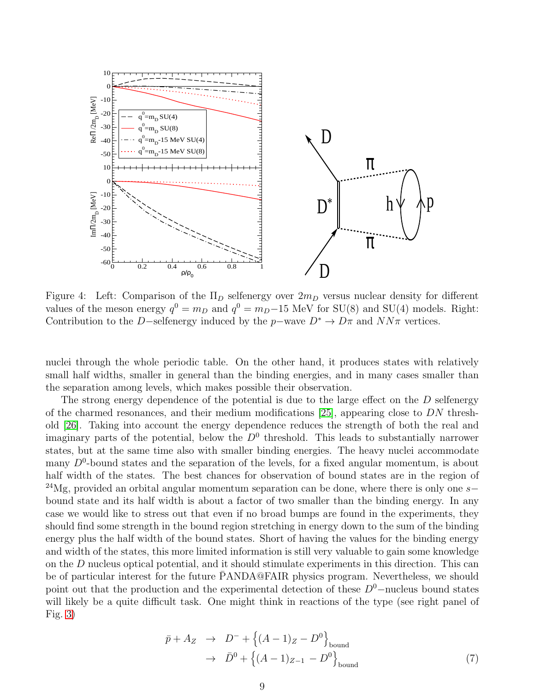

<span id="page-8-0"></span>Figure 4: Left: Comparison of the  $\Pi_D$  selfenergy over  $2m_D$  versus nuclear density for different values of the meson energy  $q^0 = m_D$  and  $q^0 = m_D - 15$  MeV for SU(8) and SU(4) models. Right: Contribution to the D−selfenergy induced by the  $p$ –wave  $D^* \to D\pi$  and  $NN\pi$  vertices.

nuclei through the whole periodic table. On the other hand, it produces states with relatively small half widths, smaller in general than the binding energies, and in many cases smaller than the separation among levels, which makes possible their observation.

The strong energy dependence of the potential is due to the large effect on the D selfenergy of the charmed resonances, and their medium modifications [\[25\]](#page-11-18), appearing close to DN threshold [\[26\]](#page-11-20). Taking into account the energy dependence reduces the strength of both the real and imaginary parts of the potential, below the  $D^0$  threshold. This leads to substantially narrower states, but at the same time also with smaller binding energies. The heavy nuclei accommodate many  $D^0$ -bound states and the separation of the levels, for a fixed angular momentum, is about half width of the states. The best chances for observation of bound states are in the region of <sup>24</sup>Mg, provided an orbital angular momentum separation can be done, where there is only one s− bound state and its half width is about a factor of two smaller than the binding energy. In any case we would like to stress out that even if no broad bumps are found in the experiments, they should find some strength in the bound region stretching in energy down to the sum of the binding energy plus the half width of the bound states. Short of having the values for the binding energy and width of the states, this more limited information is still very valuable to gain some knowledge on the D nucleus optical potential, and it should stimulate experiments in this direction. This can be of particular interest for the future PANDA@FAIR physics program. Nevertheless, we should point out that the production and the experimental detection of these  $D^0$ −nucleus bound states will likely be a quite difficult task. One might think in reactions of the type (see right panel of Fig. [3\)](#page-7-1)

<span id="page-8-1"></span>
$$
\bar{p} + A_Z \rightarrow D^- + \{(A - 1)Z - D^0\}_{\text{bound}}\rightarrow \bar{D}^0 + \{(A - 1)Z - 1 - D^0\}_{\text{bound}}
$$
\n(7)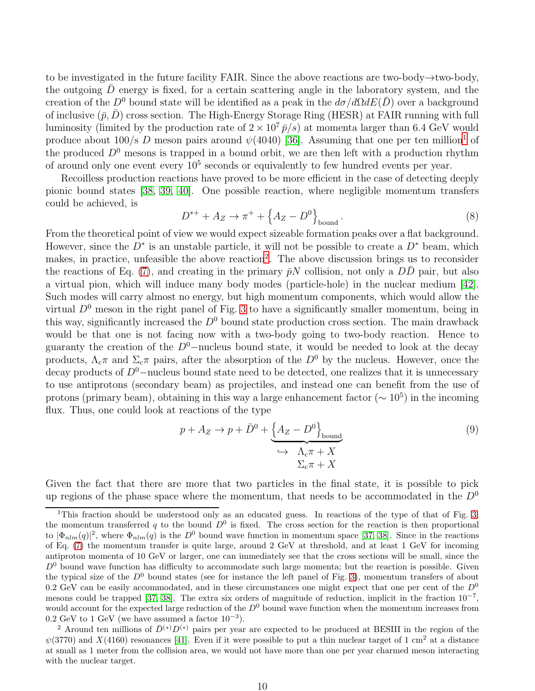to be investigated in the future facility FAIR. Since the above reactions are two-body→two-body, the outgoing  $D$  energy is fixed, for a certain scattering angle in the laboratory system, and the creation of the  $D^0$  bound state will be identified as a peak in the  $d\sigma/d\Omega dE(\bar{D})$  over a background of inclusive  $(\bar{p}, \bar{D})$  cross section. The High-Energy Storage Ring (HESR) at FAIR running with full luminosity (limited by the production rate of  $2 \times 10^7 \bar{p/s}$ ) at momenta larger than 6.4 GeV would produce about [1](#page-9-0)00/s D meson pairs around  $\psi(4040)$  [\[36\]](#page-12-4). Assuming that one per ten million<sup>1</sup> of the produced  $D^0$  mesons is trapped in a bound orbit, we are then left with a production rhythm of around only one event every  $10^5$  seconds or equivalently to few hundred events per year.

Recoilless production reactions have proved to be more efficient in the case of detecting deeply pionic bound states [\[38,](#page-12-5) [39,](#page-12-6) [40\]](#page-12-7). One possible reaction, where negligible momentum transfers could be achieved, is

$$
D^{*+} + A_Z \to \pi^+ + \left\{ A_Z - D^0 \right\}_{\text{bound}}.
$$
 (8)

From the theoretical point of view we would expect sizeable formation peaks over a flat background. However, since the  $D^*$  is an unstable particle, it will not be possible to create a  $D^*$  beam, which makes, in practice, unfeasible the above reaction<sup>[2](#page-9-1)</sup>. The above discussion brings us to reconsider the reactions of Eq. [\(7\)](#page-8-1), and creating in the primary  $\bar{p}N$  collision, not only a  $D\bar{D}$  pair, but also a virtual pion, which will induce many body modes (particle-hole) in the nuclear medium [\[42\]](#page-12-8). Such modes will carry almost no energy, but high momentum components, which would allow the virtual  $D^0$  meson in the right panel of Fig. [3](#page-7-1) to have a significantly smaller momentum, being in this way, significantly increased the  $D^0$  bound state production cross section. The main drawback would be that one is not facing now with a two-body going to two-body reaction. Hence to guaranty the creation of the  $D^0$ –nucleus bound state, it would be needed to look at the decay products,  $\Lambda_c \pi$  and  $\Sigma_c \pi$  pairs, after the absorption of the  $D^0$  by the nucleus. However, once the decay products of  $D^0$ –nucleus bound state need to be detected, one realizes that it is unnecessary to use antiprotons (secondary beam) as projectiles, and instead one can benefit from the use of protons (primary beam), obtaining in this way a large enhancement factor ( $\sim 10^5$ ) in the incoming flux. Thus, one could look at reactions of the type

$$
p + A_Z \rightarrow p + \bar{D}^0 + \underbrace{\{A_Z - D^0\}}_{\longleftrightarrow \Lambda_c \pi + X} \tag{9}
$$
\n
$$
\xrightarrow{\Lambda_c \pi + X}
$$

Given the fact that there are more that two particles in the final state, it is possible to pick up regions of the phase space where the momentum, that needs to be accommodated in the  $D^0$ 

<span id="page-9-0"></span><sup>&</sup>lt;sup>1</sup>This fraction should be understood only as an educated guess. In reactions of the type of that of Fig. [3,](#page-7-1) the momentum transferred q to the bound  $D^0$  is fixed. The cross section for the reaction is then proportional to  $|\Phi_{nlm}(q)|^2$ , where  $\Phi_{nlm}(q)$  is the  $D^0$  bound wave function in momentum space [\[37,](#page-12-9) [38\]](#page-12-5). Since in the reactions of Eq. [\(7\)](#page-8-1) the momentum transfer is quite large, around 2 GeV at threshold, and at least 1 GeV for incoming antiproton momenta of 10 GeV or larger, one can immediately see that the cross sections will be small, since the  $D<sup>0</sup>$  bound wave function has difficulty to accommodate such large momenta; but the reaction is possible. Given the typical size of the  $D^0$  bound states (see for instance the left panel of Fig. [3\)](#page-7-1), momentum transfers of about 0.2 GeV can be easily accommodated, and in these circumstances one might expect that one per cent of the  $D^0$ mesons could be trapped [\[37,](#page-12-9) [38\]](#page-12-5). The extra six orders of magnitude of reduction, implicit in the fraction 10<sup>-7</sup>, would account for the expected large reduction of the  $D<sup>0</sup>$  bound wave function when the momentum increases from  $0.2 \text{ GeV}$  to 1 GeV (we have assumed a factor  $10^{-3}$ ).

<span id="page-9-1"></span><sup>&</sup>lt;sup>2</sup> Around ten millions of  $\bar{D}^{(*)}D^{(*)}$  pairs per year are expected to be produced at BESIII in the region of the  $\psi(3770)$  and  $X(4160)$  resonances [\[41\]](#page-12-10). Even if it were possible to put a thin nuclear target of 1 cm<sup>2</sup> at a distance at small as 1 meter from the collision area, we would not have more than one per year charmed meson interacting with the nuclear target.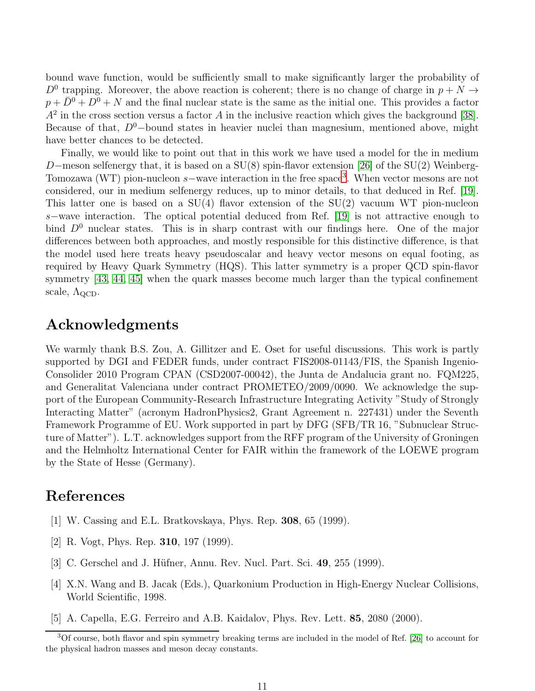bound wave function, would be sufficiently small to make significantly larger the probability of  $D^0$  trapping. Moreover, the above reaction is coherent; there is no change of charge in  $p + N \rightarrow$  $p + \overline{D}^0 + D^0 + N$  and the final nuclear state is the same as the initial one. This provides a factor  $A<sup>2</sup>$  in the cross section versus a factor A in the inclusive reaction which gives the background [\[38\]](#page-12-5). Because of that,  $D^0$ -bound states in heavier nuclei than magnesium, mentioned above, might have better chances to be detected.

Finally, we would like to point out that in this work we have used a model for the in medium D–meson selfenergy that, it is based on a  $SU(8)$  spin-flavor extension [\[26\]](#page-11-20) of the  $SU(2)$  Weinberg-Tomozawa (WT) pion-nucleon s–wave interaction in the free space<sup>[3](#page-10-5)</sup>. When vector mesons are not considered, our in medium selfenergy reduces, up to minor details, to that deduced in Ref. [\[19\]](#page-11-13). This latter one is based on a  $SU(4)$  flavor extension of the  $SU(2)$  vacuum WT pion-nucleon s−wave interaction. The optical potential deduced from Ref. [\[19\]](#page-11-13) is not attractive enough to bind  $D^0$  nuclear states. This is in sharp contrast with our findings here. One of the major differences between both approaches, and mostly responsible for this distinctive difference, is that the model used here treats heavy pseudoscalar and heavy vector mesons on equal footing, as required by Heavy Quark Symmetry (HQS). This latter symmetry is a proper QCD spin-flavor symmetry [\[43,](#page-12-11) [44,](#page-12-12) [45\]](#page-12-13) when the quark masses become much larger than the typical confinement scale,  $\Lambda_{\rm QCD}$ .

### Acknowledgments

We warmly thank B.S. Zou, A. Gillitzer and E. Oset for useful discussions. This work is partly supported by DGI and FEDER funds, under contract FIS2008-01143/FIS, the Spanish Ingenio-Consolider 2010 Program CPAN (CSD2007-00042), the Junta de Andalucia grant no. FQM225, and Generalitat Valenciana under contract PROMETEO/2009/0090. We acknowledge the support of the European Community-Research Infrastructure Integrating Activity "Study of Strongly Interacting Matter" (acronym HadronPhysics2, Grant Agreement n. 227431) under the Seventh Framework Programme of EU. Work supported in part by DFG (SFB/TR 16, "Subnuclear Structure of Matter"). L.T. acknowledges support from the RFF program of the University of Groningen and the Helmholtz International Center for FAIR within the framework of the LOEWE program by the State of Hesse (Germany).

### <span id="page-10-0"></span>References

- <span id="page-10-1"></span>[1] W. Cassing and E.L. Bratkovskaya, Phys. Rep. 308, 65 (1999).
- <span id="page-10-2"></span>[2] R. Vogt, Phys. Rep. 310, 197 (1999).
- <span id="page-10-3"></span>[3] C. Gerschel and J. Hüfner, Annu. Rev. Nucl. Part. Sci. 49, 255 (1999).
- [4] X.N. Wang and B. Jacak (Eds.), Quarkonium Production in High-Energy Nuclear Collisions, World Scientific, 1998.
- <span id="page-10-4"></span>[5] A. Capella, E.G. Ferreiro and A.B. Kaidalov, Phys. Rev. Lett. 85, 2080 (2000).

<span id="page-10-5"></span><sup>3</sup>Of course, both flavor and spin symmetry breaking terms are included in the model of Ref. [\[26\]](#page-11-20) to account for the physical hadron masses and meson decay constants.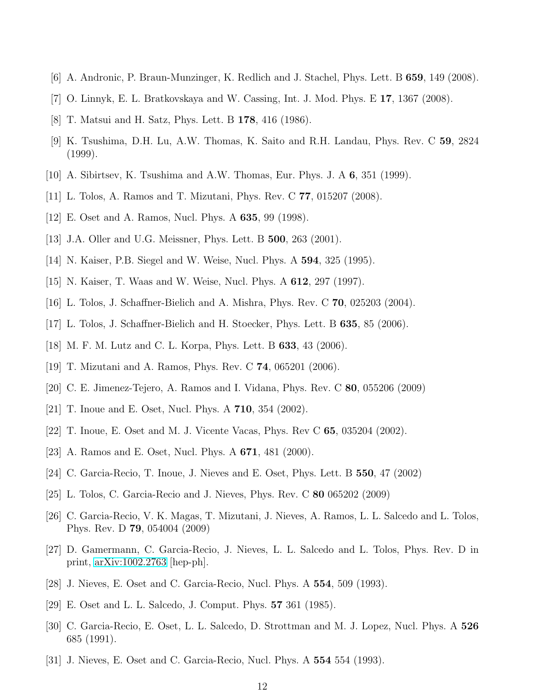- <span id="page-11-1"></span><span id="page-11-0"></span>[6] A. Andronic, P. Braun-Munzinger, K. Redlich and J. Stachel, Phys. Lett. B 659, 149 (2008).
- <span id="page-11-2"></span>[7] O. Linnyk, E. L. Bratkovskaya and W. Cassing, Int. J. Mod. Phys. E 17, 1367 (2008).
- <span id="page-11-3"></span>[8] T. Matsui and H. Satz, Phys. Lett. B 178, 416 (1986).
- <span id="page-11-4"></span>[9] K. Tsushima, D.H. Lu, A.W. Thomas, K. Saito and R.H. Landau, Phys. Rev. C 59, 2824 (1999).
- <span id="page-11-5"></span>[10] A. Sibirtsev, K. Tsushima and A.W. Thomas, Eur. Phys. J. A 6, 351 (1999).
- <span id="page-11-6"></span>[11] L. Tolos, A. Ramos and T. Mizutani, Phys. Rev. C 77, 015207 (2008).
- <span id="page-11-7"></span>[12] E. Oset and A. Ramos, Nucl. Phys. A 635, 99 (1998).
- <span id="page-11-8"></span>[13] J.A. Oller and U.G. Meissner, Phys. Lett. B **500**, 263 (2001).
- <span id="page-11-9"></span>[14] N. Kaiser, P.B. Siegel and W. Weise, Nucl. Phys. A 594, 325 (1995).
- <span id="page-11-10"></span>[15] N. Kaiser, T. Waas and W. Weise, Nucl. Phys. A 612, 297 (1997).
- <span id="page-11-11"></span>[16] L. Tolos, J. Schaffner-Bielich and A. Mishra, Phys. Rev. C 70, 025203 (2004).
- <span id="page-11-12"></span>[17] L. Tolos, J. Schaffner-Bielich and H. Stoecker, Phys. Lett. B 635, 85 (2006).
- <span id="page-11-13"></span>[18] M. F. M. Lutz and C. L. Korpa, Phys. Lett. B 633, 43 (2006).
- <span id="page-11-19"></span>[19] T. Mizutani and A. Ramos, Phys. Rev. C 74, 065201 (2006).
- <span id="page-11-14"></span>[20] C. E. Jimenez-Tejero, A. Ramos and I. Vidana, Phys. Rev. C 80, 055206 (2009)
- <span id="page-11-15"></span>[21] T. Inoue and E. Oset, Nucl. Phys. A 710, 354 (2002).
- <span id="page-11-16"></span>[22] T. Inoue, E. Oset and M. J. Vicente Vacas, Phys. Rev C 65, 035204 (2002).
- <span id="page-11-17"></span>[23] A. Ramos and E. Oset, Nucl. Phys. A 671, 481 (2000).
- <span id="page-11-18"></span>[24] C. Garcia-Recio, T. Inoue, J. Nieves and E. Oset, Phys. Lett. B 550, 47 (2002)
- <span id="page-11-20"></span>[25] L. Tolos, C. Garcia-Recio and J. Nieves, Phys. Rev. C 80 065202 (2009)
- [26] C. Garcia-Recio, V. K. Magas, T. Mizutani, J. Nieves, A. Ramos, L. L. Salcedo and L. Tolos, Phys. Rev. D 79, 054004 (2009)
- <span id="page-11-21"></span>[27] D. Gamermann, C. Garcia-Recio, J. Nieves, L. L. Salcedo and L. Tolos, Phys. Rev. D in print, [arXiv:1002.2763](http://arxiv.org/abs/1002.2763) [hep-ph].
- <span id="page-11-23"></span><span id="page-11-22"></span>[28] J. Nieves, E. Oset and C. Garcia-Recio, Nucl. Phys. A 554, 509 (1993).
- <span id="page-11-24"></span>[29] E. Oset and L. L. Salcedo, J. Comput. Phys. 57 361 (1985).
- [30] C. Garcia-Recio, E. Oset, L. L. Salcedo, D. Strottman and M. J. Lopez, Nucl. Phys. A 526 685 (1991).
- <span id="page-11-25"></span>[31] J. Nieves, E. Oset and C. Garcia-Recio, Nucl. Phys. A 554 554 (1993).